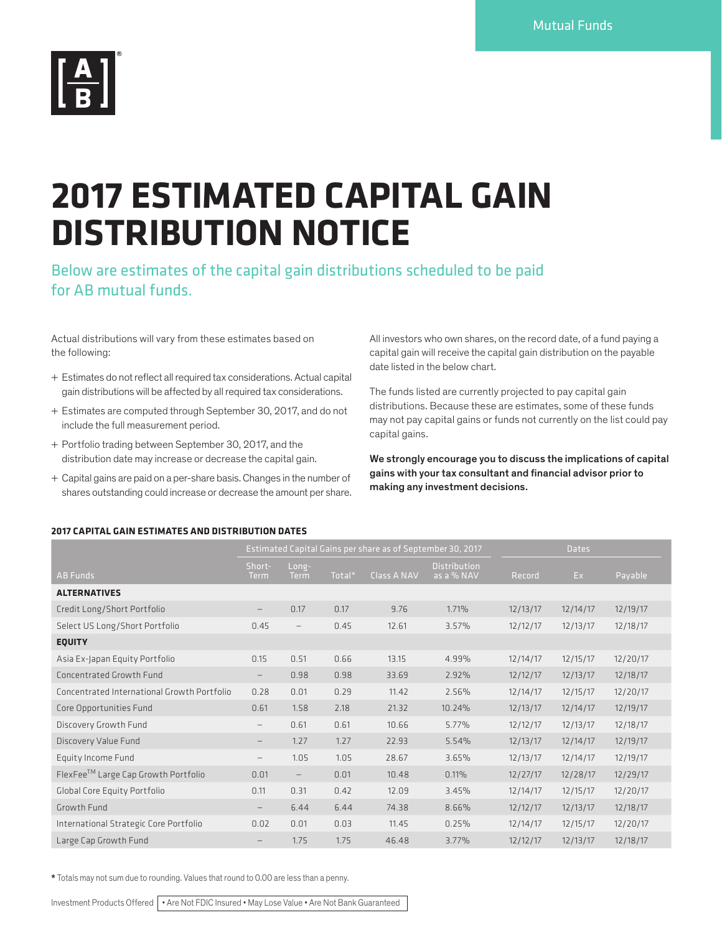

## **2017 ESTIMATED CAPITAL GAIN DISTRIBUTION NOTICE**

Below are estimates of the capital gain distributions scheduled to be paid for AB mutual funds.

Actual distributions will vary from these estimates based on the following:

- + Estimates do not reflect all required tax considerations. Actual capital gain distributions will be affected by all required tax considerations.
- + Estimates are computed through September 30, 2017, and do not include the full measurement period.
- + Portfolio trading between September 30, 2017, and the distribution date may increase or decrease the capital gain.
- + Capital gains are paid on a per-share basis. Changes in the number of shares outstanding could increase or decrease the amount per share.

All investors who own shares, on the record date, of a fund paying a capital gain will receive the capital gain distribution on the payable date listed in the below chart.

The funds listed are currently projected to pay capital gain distributions. Because these are estimates, some of these funds may not pay capital gains or funds not currently on the list could pay capital gains.

We strongly encourage you to discuss the implications of capital gains with your tax consultant and financial advisor prior to making any investment decisions.

## **2017 CAPITAL GAIN ESTIMATES AND DISTRIBUTION DATES**

|                                             |                          |                          |           | Estimated Capital Gains per share as of September 30, 2017 | <b>Dates</b>                      |          |          |          |
|---------------------------------------------|--------------------------|--------------------------|-----------|------------------------------------------------------------|-----------------------------------|----------|----------|----------|
| AB Funds                                    | Short-<br><b>Term</b>    | Long-<br><b>Term</b>     | Total $*$ | <b>Class A NAV</b>                                         | <b>Distribution</b><br>as a % NAV | Record   | Ex       | Payable  |
| <b>ALTERNATIVES</b>                         |                          |                          |           |                                                            |                                   |          |          |          |
| Credit Long/Short Portfolio                 |                          | 0.17                     | 0.17      | 9.76                                                       | 1.71%                             | 12/13/17 | 12/14/17 | 12/19/17 |
| Select US Long/Short Portfolio              | 0.45                     | $\overline{\phantom{m}}$ | 0.45      | 12.61                                                      | 3.57%                             | 12/12/17 | 12/13/17 | 12/18/17 |
| <b>EQUITY</b>                               |                          |                          |           |                                                            |                                   |          |          |          |
| Asia Ex-Japan Equity Portfolio              | 0.15                     | 0.51                     | 0.66      | 13.15                                                      | 4.99%                             | 12/14/17 | 12/15/17 | 12/20/17 |
| Concentrated Growth Fund                    | $\overline{\phantom{m}}$ | 0.98                     | 0.98      | 33.69                                                      | 2.92%                             | 12/12/17 | 12/13/17 | 12/18/17 |
| Concentrated International Growth Portfolio | 0.28                     | 0.01                     | 0.29      | 11.42                                                      | 2.56%                             | 12/14/17 | 12/15/17 | 12/20/17 |
| Core Opportunities Fund                     | 0.61                     | 1.58                     | 2.18      | 21.32                                                      | 10.24%                            | 12/13/17 | 12/14/17 | 12/19/17 |
| Discovery Growth Fund                       | $\qquad \qquad -$        | 0.61                     | 0.61      | 10.66                                                      | 5.77%                             | 12/12/17 | 12/13/17 | 12/18/17 |
| Discovery Value Fund                        | $\overline{\phantom{m}}$ | 1.27                     | 1.27      | 22.93                                                      | 5.54%                             | 12/13/17 | 12/14/17 | 12/19/17 |
| Equity Income Fund                          |                          | 1.05                     | 1.05      | 28.67                                                      | 3.65%                             | 12/13/17 | 12/14/17 | 12/19/17 |
| FlexFee™ Large Cap Growth Portfolio         | 0.01                     | $\overline{\phantom{m}}$ | 0.01      | 10.48                                                      | 0.11%                             | 12/27/17 | 12/28/17 | 12/29/17 |
| Global Core Equity Portfolio                | 0.11                     | 0.31                     | 0.42      | 12.09                                                      | 3.45%                             | 12/14/17 | 12/15/17 | 12/20/17 |
| Growth Fund                                 | $\overline{\phantom{m}}$ | 6.44                     | 6.44      | 74.38                                                      | 8.66%                             | 12/12/17 | 12/13/17 | 12/18/17 |
| International Strategic Core Portfolio      | 0.02                     | 0.01                     | 0.03      | 11.45                                                      | 0.25%                             | 12/14/17 | 12/15/17 | 12/20/17 |
| Large Cap Growth Fund                       |                          | 1.75                     | 1.75      | 46.48                                                      | 3.77%                             | 12/12/17 | 12/13/17 | 12/18/17 |

\* Totals may not sum due to rounding. Values that round to 0.00 are less than a penny.

Investment Products Offered | • Are Not FDIC Insured • May Lose Value • Are Not Bank Guaranteed